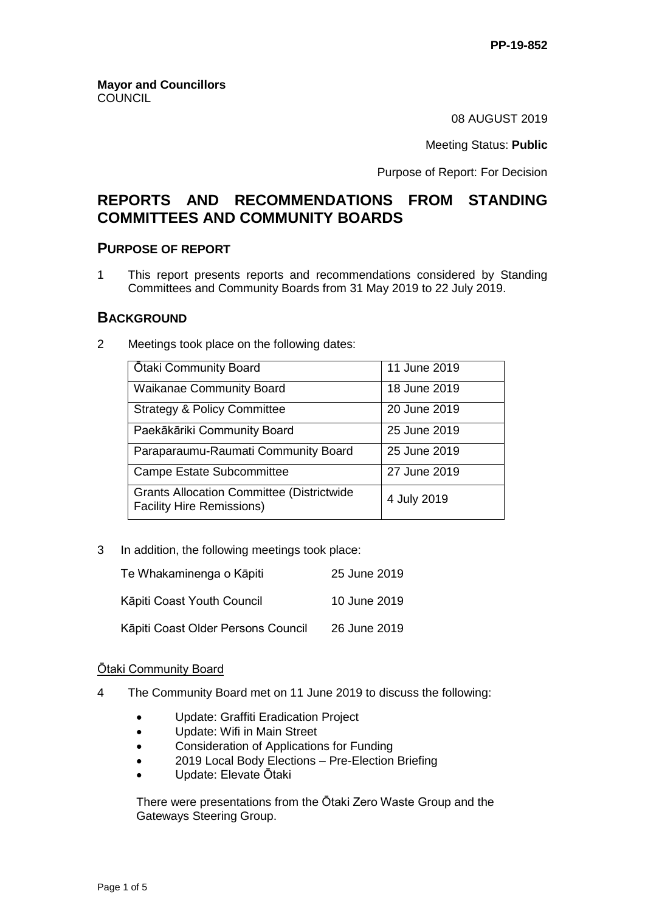08 AUGUST 2019

Meeting Status: **Public**

Purpose of Report: For Decision

# **REPORTS AND RECOMMENDATIONS FROM STANDING COMMITTEES AND COMMUNITY BOARDS**

## **PURPOSE OF REPORT**

1 This report presents reports and recommendations considered by Standing Committees and Community Boards from 31 May 2019 to 22 July 2019.

## **BACKGROUND**

2 Meetings took place on the following dates:

| <b>Otaki Community Board</b>                                                         | 11 June 2019 |
|--------------------------------------------------------------------------------------|--------------|
| <b>Waikanae Community Board</b>                                                      | 18 June 2019 |
| <b>Strategy &amp; Policy Committee</b>                                               | 20 June 2019 |
| Paekākāriki Community Board                                                          | 25 June 2019 |
| Paraparaumu-Raumati Community Board                                                  | 25 June 2019 |
| Campe Estate Subcommittee                                                            | 27 June 2019 |
| <b>Grants Allocation Committee (Districtwide</b><br><b>Facility Hire Remissions)</b> | 4 July 2019  |

3 In addition, the following meetings took place:

| Te Whakaminenga o Kāpiti           | 25 June 2019 |
|------------------------------------|--------------|
| Kāpiti Coast Youth Council         | 10 June 2019 |
| Kāpiti Coast Older Persons Council | 26 June 2019 |

### Ōtaki Community Board

- 4 The Community Board met on 11 June 2019 to discuss the following:
	- Update: Graffiti Eradication Project
	- Update: Wifi in Main Street
	- Consideration of Applications for Funding
	- 2019 Local Body Elections Pre-Election Briefing
	- Update: Elevate Ōtaki

There were presentations from the Ōtaki Zero Waste Group and the Gateways Steering Group.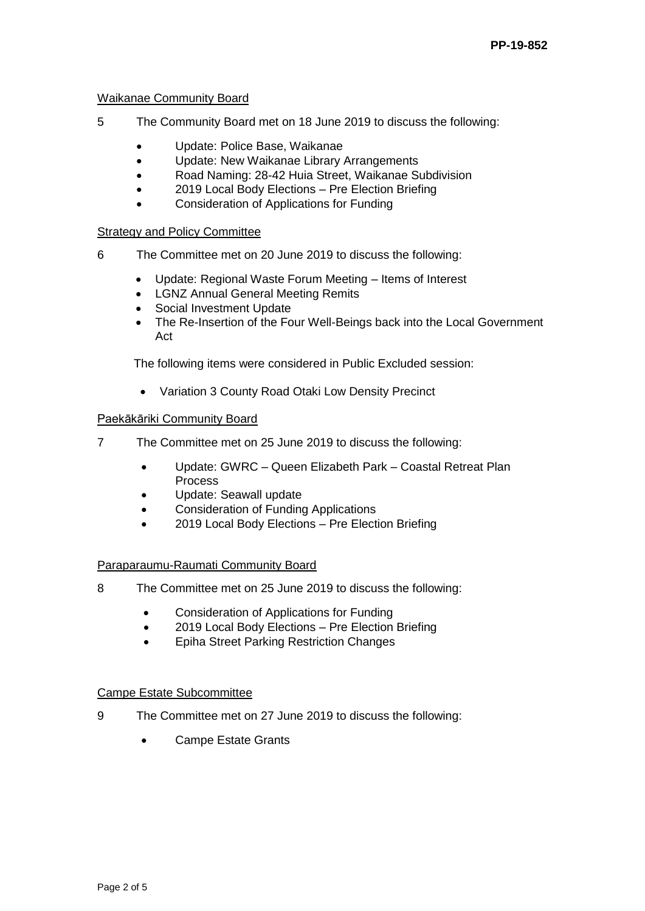### Waikanae Community Board

- 5 The Community Board met on 18 June 2019 to discuss the following:
	- Update: Police Base, Waikanae
	- Update: New Waikanae Library Arrangements
	- Road Naming: 28-42 Huia Street, Waikanae Subdivision
	- 2019 Local Body Elections Pre Election Briefing
	- Consideration of Applications for Funding

### Strategy and Policy Committee

- 6 The Committee met on 20 June 2019 to discuss the following:
	- Update: Regional Waste Forum Meeting Items of Interest
	- LGNZ Annual General Meeting Remits
	- Social Investment Update
	- The Re-Insertion of the Four Well-Beings back into the Local Government Act

The following items were considered in Public Excluded session:

Variation 3 County Road Otaki Low Density Precinct

#### Paekākāriki Community Board

- 7 The Committee met on 25 June 2019 to discuss the following:
	- Update: GWRC Queen Elizabeth Park Coastal Retreat Plan Process
	- Update: Seawall update
	- Consideration of Funding Applications
	- 2019 Local Body Elections Pre Election Briefing

### Paraparaumu-Raumati Community Board

- 8 The Committee met on 25 June 2019 to discuss the following:
	- Consideration of Applications for Funding
	- 2019 Local Body Elections Pre Election Briefing
	- Epiha Street Parking Restriction Changes

#### Campe Estate Subcommittee

- 9 The Committee met on 27 June 2019 to discuss the following:
	- Campe Estate Grants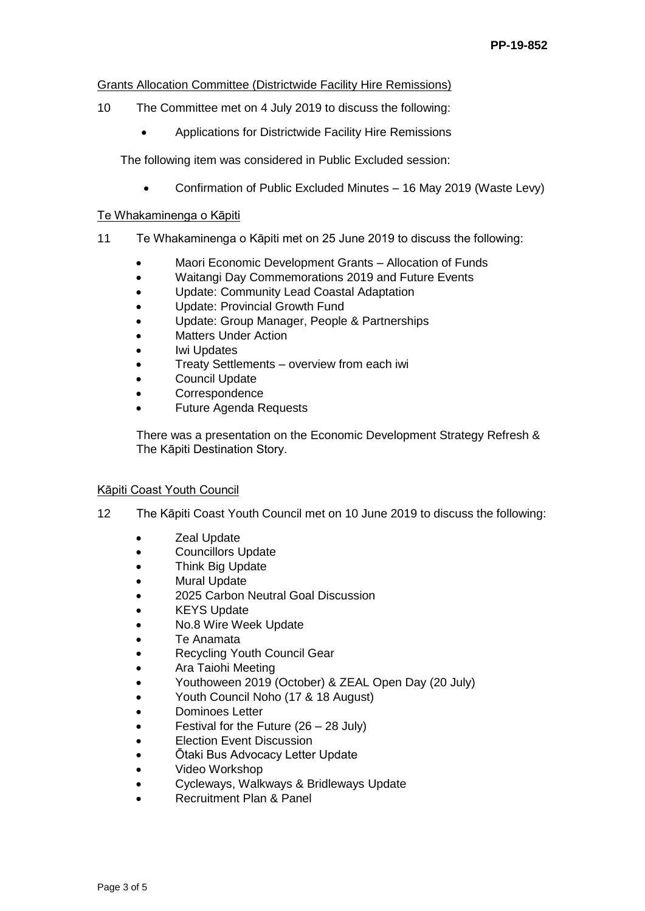#### Grants Allocation Committee (Districtwide Facility Hire Remissions)

- 10 The Committee met on 4 July 2019 to discuss the following:
	- Applications for Districtwide Facility Hire Remissions

The following item was considered in Public Excluded session:

Confirmation of Public Excluded Minutes – 16 May 2019 (Waste Levy)

#### Te Whakaminenga o Kāpiti

- 11 Te Whakaminenga o Kāpiti met on 25 June 2019 to discuss the following:
	- Maori Economic Development Grants Allocation of Funds
	- Waitangi Day Commemorations 2019 and Future Events
	- Update: Community Lead Coastal Adaptation
	- Update: Provincial Growth Fund
	- Update: Group Manager, People & Partnerships
	- Matters Under Action
	- Iwi Updates
	- Treaty Settlements overview from each iwi
	- Council Update
	- Correspondence
	- Future Agenda Requests

There was a presentation on the Economic Development Strategy Refresh & The Kāpiti Destination Story.

### Kāpiti Coast Youth Council

- 12 The Kāpiti Coast Youth Council met on 10 June 2019 to discuss the following:
	- **Zeal Update**
	- Councillors Update
	- Think Big Update
	- Mural Update
	- 2025 Carbon Neutral Goal Discussion
	- KEYS Update
	- No.8 Wire Week Update
	- Te Anamata
	- Recycling Youth Council Gear
	- Ara Taiohi Meeting
	- Youthoween 2019 (October) & ZEAL Open Day (20 July)
	- Youth Council Noho (17 & 18 August)
	- Dominoes Letter
	- Festival for the Future (26 28 July)
	- Election Event Discussion
	- Ōtaki Bus Advocacy Letter Update
	- Video Workshop
	- Cycleways, Walkways & Bridleways Update
	- Recruitment Plan & Panel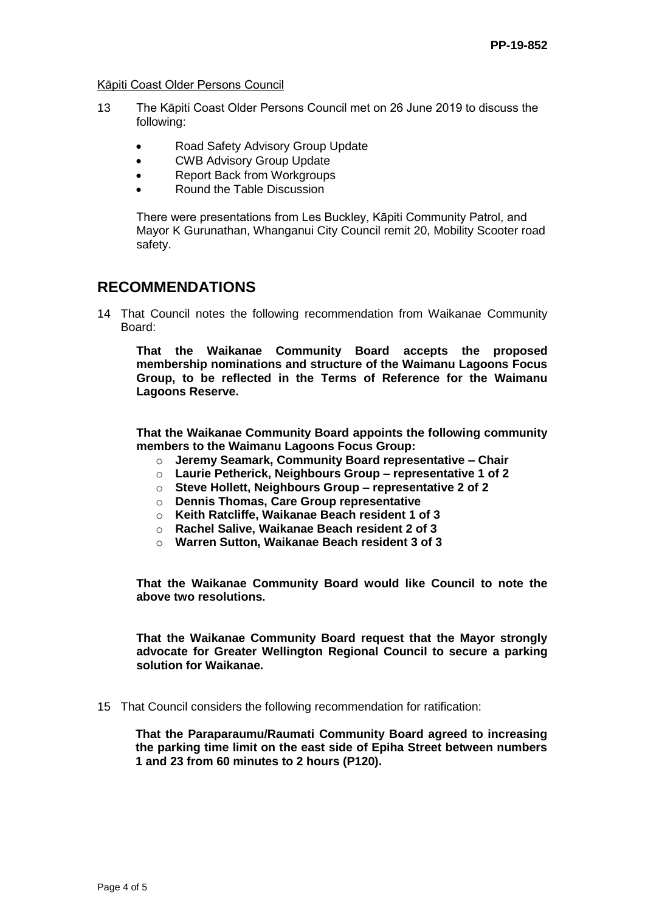Kāpiti Coast Older Persons Council

- 13 The Kāpiti Coast Older Persons Council met on 26 June 2019 to discuss the following:
	- Road Safety Advisory Group Update
	- CWB Advisory Group Update
	- Report Back from Workgroups
	- Round the Table Discussion

There were presentations from Les Buckley, Kāpiti Community Patrol, and Mayor K Gurunathan, Whanganui City Council remit 20, Mobility Scooter road safety.

# **RECOMMENDATIONS**

14 That Council notes the following recommendation from Waikanae Community Board:

**That the Waikanae Community Board accepts the proposed membership nominations and structure of the Waimanu Lagoons Focus Group, to be reflected in the Terms of Reference for the Waimanu Lagoons Reserve.** 

**That the Waikanae Community Board appoints the following community members to the Waimanu Lagoons Focus Group:** 

- o **Jeremy Seamark, Community Board representative – Chair**
- o **Laurie Petherick, Neighbours Group – representative 1 of 2**
- o **Steve Hollett, Neighbours Group – representative 2 of 2**
- o **Dennis Thomas, Care Group representative**
- o **Keith Ratcliffe, Waikanae Beach resident 1 of 3**
- o **Rachel Salive, Waikanae Beach resident 2 of 3**
- o **Warren Sutton, Waikanae Beach resident 3 of 3**

**That the Waikanae Community Board would like Council to note the above two resolutions.** 

**That the Waikanae Community Board request that the Mayor strongly advocate for Greater Wellington Regional Council to secure a parking solution for Waikanae.**

15 That Council considers the following recommendation for ratification:

**That the Paraparaumu/Raumati Community Board agreed to increasing the parking time limit on the east side of Epiha Street between numbers 1 and 23 from 60 minutes to 2 hours (P120).**